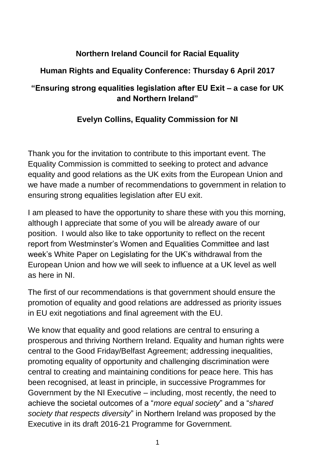## **Northern Ireland Council for Racial Equality**

## **Human Rights and Equality Conference: Thursday 6 April 2017**

## **"Ensuring strong equalities legislation after EU Exit – a case for UK and Northern Ireland"**

## **Evelyn Collins, Equality Commission for NI**

Thank you for the invitation to contribute to this important event. The Equality Commission is committed to seeking to protect and advance equality and good relations as the UK exits from the European Union and we have made a number of recommendations to government in relation to ensuring strong equalities legislation after EU exit.

I am pleased to have the opportunity to share these with you this morning, although I appreciate that some of you will be already aware of our position. I would also like to take opportunity to reflect on the recent report from Westminster's Women and Equalities Committee and last week's White Paper on Legislating for the UK's withdrawal from the European Union and how we will seek to influence at a UK level as well as here in NI.

The first of our recommendations is that government should ensure the promotion of equality and good relations are addressed as priority issues in EU exit negotiations and final agreement with the EU.

We know that equality and good relations are central to ensuring a prosperous and thriving Northern Ireland. Equality and human rights were central to the Good Friday/Belfast Agreement; addressing inequalities, promoting equality of opportunity and challenging discrimination were central to creating and maintaining conditions for peace here. This has been recognised, at least in principle, in successive Programmes for Government by the NI Executive – including, most recently, the need to achieve the societal outcomes of a "*more equal society*" and a "*shared society that respects diversity*" in Northern Ireland was proposed by the Executive in its draft 2016-21 Programme for Government.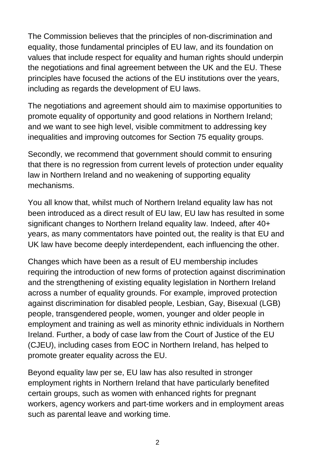The Commission believes that the principles of non-discrimination and equality, those fundamental principles of EU law, and its foundation on values that include respect for equality and human rights should underpin the negotiations and final agreement between the UK and the EU. These principles have focused the actions of the EU institutions over the years, including as regards the development of EU laws.

The negotiations and agreement should aim to maximise opportunities to promote equality of opportunity and good relations in Northern Ireland; and we want to see high level, visible commitment to addressing key inequalities and improving outcomes for Section 75 equality groups.

Secondly, we recommend that government should commit to ensuring that there is no regression from current levels of protection under equality law in Northern Ireland and no weakening of supporting equality mechanisms.

You all know that, whilst much of Northern Ireland equality law has not been introduced as a direct result of EU law, EU law has resulted in some significant changes to Northern Ireland equality law. Indeed, after 40+ years, as many commentators have pointed out, the reality is that EU and UK law have become deeply interdependent, each influencing the other.

Changes which have been as a result of EU membership includes requiring the introduction of new forms of protection against discrimination and the strengthening of existing equality legislation in Northern Ireland across a number of equality grounds. For example, improved protection against discrimination for disabled people, Lesbian, Gay, Bisexual (LGB) people, transgendered people, women, younger and older people in employment and training as well as minority ethnic individuals in Northern Ireland. Further, a body of case law from the Court of Justice of the EU (CJEU), including cases from EOC in Northern Ireland, has helped to promote greater equality across the EU.

Beyond equality law per se, EU law has also resulted in stronger employment rights in Northern Ireland that have particularly benefited certain groups, such as women with enhanced rights for pregnant workers, agency workers and part-time workers and in employment areas such as parental leave and working time.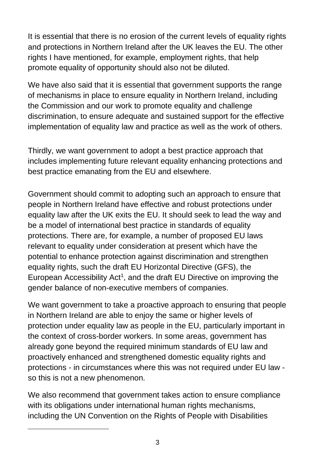It is essential that there is no erosion of the current levels of equality rights and protections in Northern Ireland after the UK leaves the EU. The other rights I have mentioned, for example, employment rights, that help promote equality of opportunity should also not be diluted.

We have also said that it is essential that government supports the range of mechanisms in place to ensure equality in Northern Ireland, including the Commission and our work to promote equality and challenge discrimination, to ensure adequate and sustained support for the effective implementation of equality law and practice as well as the work of others.

Thirdly, we want government to adopt a best practice approach that includes implementing future relevant equality enhancing protections and best practice emanating from the EU and elsewhere.

Government should commit to adopting such an approach to ensure that people in Northern Ireland have effective and robust protections under equality law after the UK exits the EU. It should seek to lead the way and be a model of international best practice in standards of equality protections. There are, for example, a number of proposed EU laws relevant to equality under consideration at present which have the potential to enhance protection against discrimination and strengthen equality rights, such the draft EU Horizontal Directive (GFS), the European Accessibility Act<sup>1</sup>, and the draft EU Directive on improving the gender balance of non-executive members of companies.

We want government to take a proactive approach to ensuring that people in Northern Ireland are able to enjoy the same or higher levels of protection under equality law as people in the EU, particularly important in the context of cross-border workers. In some areas, government has already gone beyond the required minimum standards of EU law and proactively enhanced and strengthened domestic equality rights and protections - in circumstances where this was not required under EU law so this is not a new phenomenon.

We also recommend that government takes action to ensure compliance with its obligations under international human rights mechanisms, including the UN Convention on the Rights of People with Disabilities

 $\overline{a}$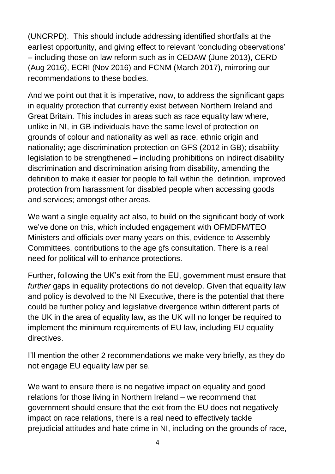(UNCRPD). This should include addressing identified shortfalls at the earliest opportunity, and giving effect to relevant 'concluding observations' – including those on law reform such as in CEDAW (June 2013), CERD (Aug 2016), ECRI (Nov 2016) and FCNM (March 2017), mirroring our recommendations to these bodies.

And we point out that it is imperative, now, to address the significant gaps in equality protection that currently exist between Northern Ireland and Great Britain. This includes in areas such as race equality law where, unlike in NI, in GB individuals have the same level of protection on grounds of colour and nationality as well as race, ethnic origin and nationality; age discrimination protection on GFS (2012 in GB); disability legislation to be strengthened – including prohibitions on indirect disability discrimination and discrimination arising from disability, amending the definition to make it easier for people to fall within the definition, improved protection from harassment for disabled people when accessing goods and services; amongst other areas.

We want a single equality act also, to build on the significant body of work we've done on this, which included engagement with OFMDFM/TEO Ministers and officials over many years on this, evidence to Assembly Committees, contributions to the age gfs consultation. There is a real need for political will to enhance protections.

Further, following the UK's exit from the EU, government must ensure that *further* gaps in equality protections do not develop. Given that equality law and policy is devolved to the NI Executive, there is the potential that there could be further policy and legislative divergence within different parts of the UK in the area of equality law, as the UK will no longer be required to implement the minimum requirements of EU law, including EU equality directives.

I'll mention the other 2 recommendations we make very briefly, as they do not engage EU equality law per se.

We want to ensure there is no negative impact on equality and good relations for those living in Northern Ireland – we recommend that government should ensure that the exit from the EU does not negatively impact on race relations, there is a real need to effectively tackle prejudicial attitudes and hate crime in NI, including on the grounds of race,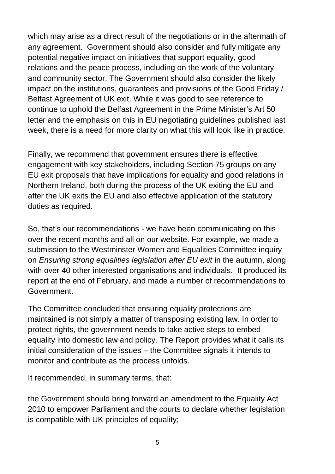which may arise as a direct result of the negotiations or in the aftermath of any agreement. Government should also consider and fully mitigate any potential negative impact on initiatives that support equality, good relations and the peace process, including on the work of the voluntary and community sector. The Government should also consider the likely impact on the institutions, guarantees and provisions of the Good Friday / Belfast Agreement of UK exit. While it was good to see reference to continue to uphold the Belfast Agreement in the Prime Minister's Art 50 letter and the emphasis on this in EU negotiating guidelines published last week, there is a need for more clarity on what this will look like in practice.

Finally, we recommend that government ensures there is effective engagement with key stakeholders, including Section 75 groups on any EU exit proposals that have implications for equality and good relations in Northern Ireland, both during the process of the UK exiting the EU and after the UK exits the EU and also effective application of the statutory duties as required.

So, that's our recommendations - we have been communicating on this over the recent months and all on our website. For example, we made a submission to the Westminster Women and Equalities Committee inquiry on *Ensuring strong equalities legislation after EU exit* in the autumn, along with over 40 other interested organisations and individuals. It produced its report at the end of February, and made a number of recommendations to Government.

The Committee concluded that ensuring equality protections are maintained is not simply a matter of transposing existing law. In order to protect rights, the government needs to take active steps to embed equality into domestic law and policy. The Report provides what it calls its initial consideration of the issues – the Committee signals it intends to monitor and contribute as the process unfolds.

It recommended, in summary terms, that:

the Government should bring forward an amendment to the Equality Act 2010 to empower Parliament and the courts to declare whether legislation is compatible with UK principles of equality;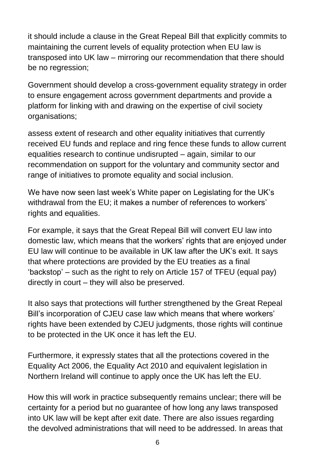it should include a clause in the Great Repeal Bill that explicitly commits to maintaining the current levels of equality protection when EU law is transposed into UK law – mirroring our recommendation that there should be no regression;

Government should develop a cross-government equality strategy in order to ensure engagement across government departments and provide a platform for linking with and drawing on the expertise of civil society organisations;

assess extent of research and other equality initiatives that currently received EU funds and replace and ring fence these funds to allow current equalities research to continue undisrupted – again, similar to our recommendation on support for the voluntary and community sector and range of initiatives to promote equality and social inclusion.

We have now seen last week's White paper on Legislating for the UK's withdrawal from the EU; it makes a number of references to workers' rights and equalities.

For example, it says that the Great Repeal Bill will convert EU law into domestic law, which means that the workers' rights that are enjoyed under EU law will continue to be available in UK law after the UK's exit. It says that where protections are provided by the EU treaties as a final 'backstop' – such as the right to rely on Article 157 of TFEU (equal pay) directly in court – they will also be preserved.

It also says that protections will further strengthened by the Great Repeal Bill's incorporation of CJEU case law which means that where workers' rights have been extended by CJEU judgments, those rights will continue to be protected in the UK once it has left the EU.

Furthermore, it expressly states that all the protections covered in the Equality Act 2006, the Equality Act 2010 and equivalent legislation in Northern Ireland will continue to apply once the UK has left the EU.

How this will work in practice subsequently remains unclear; there will be certainty for a period but no guarantee of how long any laws transposed into UK law will be kept after exit date. There are also issues regarding the devolved administrations that will need to be addressed. In areas that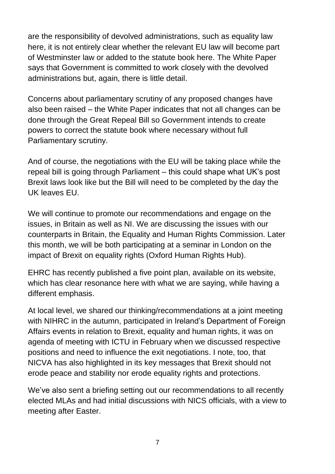are the responsibility of devolved administrations, such as equality law here, it is not entirely clear whether the relevant EU law will become part of Westminster law or added to the statute book here. The White Paper says that Government is committed to work closely with the devolved administrations but, again, there is little detail.

Concerns about parliamentary scrutiny of any proposed changes have also been raised – the White Paper indicates that not all changes can be done through the Great Repeal Bill so Government intends to create powers to correct the statute book where necessary without full Parliamentary scrutiny.

And of course, the negotiations with the EU will be taking place while the repeal bill is going through Parliament – this could shape what UK's post Brexit laws look like but the Bill will need to be completed by the day the UK leaves EU.

We will continue to promote our recommendations and engage on the issues, in Britain as well as NI. We are discussing the issues with our counterparts in Britain, the Equality and Human Rights Commission. Later this month, we will be both participating at a seminar in London on the impact of Brexit on equality rights (Oxford Human Rights Hub).

EHRC has recently published a five point plan, available on its website, which has clear resonance here with what we are saying, while having a different emphasis.

At local level, we shared our thinking/recommendations at a joint meeting with NIHRC in the autumn, participated in Ireland's Department of Foreign Affairs events in relation to Brexit, equality and human rights, it was on agenda of meeting with ICTU in February when we discussed respective positions and need to influence the exit negotiations. I note, too, that NICVA has also highlighted in its key messages that Brexit should not erode peace and stability nor erode equality rights and protections.

We've also sent a briefing setting out our recommendations to all recently elected MLAs and had initial discussions with NICS officials, with a view to meeting after Easter.